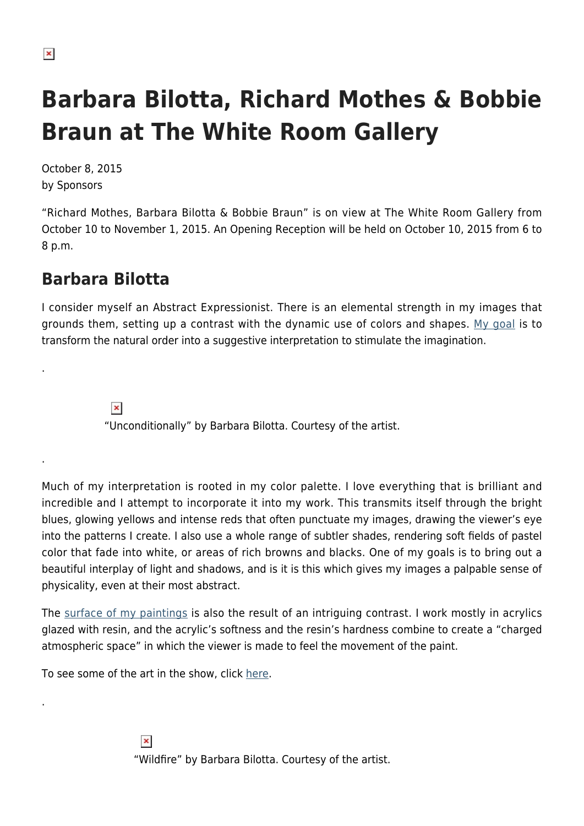.

.

.

## **Barbara Bilotta, Richard Mothes & Bobbie Braun at The White Room Gallery**

October 8, 2015 by Sponsors

"Richard Mothes, Barbara Bilotta & Bobbie Braun" is on view at The White Room Gallery from October 10 to November 1, 2015. An Opening Reception will be held on October 10, 2015 from 6 to 8 p.m.

## **Barbara Bilotta**

I consider myself an Abstract Expressionist. There is an elemental strength in my images that grounds them, setting up a contrast with the dynamic use of colors and shapes. [My goal](https://hamptonsarthub.com/artist/barbara-bilotta/) is to transform the natural order into a suggestive interpretation to stimulate the imagination.

> $\pmb{\times}$ "Unconditionally" by Barbara Bilotta. Courtesy of the artist.

Much of my interpretation is rooted in my color palette. I love everything that is brilliant and incredible and I attempt to incorporate it into my work. This transmits itself through the bright blues, glowing yellows and intense reds that often punctuate my images, drawing the viewer's eye into the patterns I create. I also use a whole range of subtler shades, rendering soft fields of pastel color that fade into white, or areas of rich browns and blacks. One of my goals is to bring out a beautiful interplay of light and shadows, and is it is this which gives my images a palpable sense of physicality, even at their most abstract.

The [surface of my paintings](http://barbarabilotta.com/) is also the result of an intriguing contrast. I work mostly in acrylics glazed with resin, and the acrylic's softness and the resin's hardness combine to create a "charged atmospheric space" in which the viewer is made to feel the movement of the paint.

To see some of the art in the show, click [here.](http://www.thewhiteroom.gallery/?project=barbara-bilotta)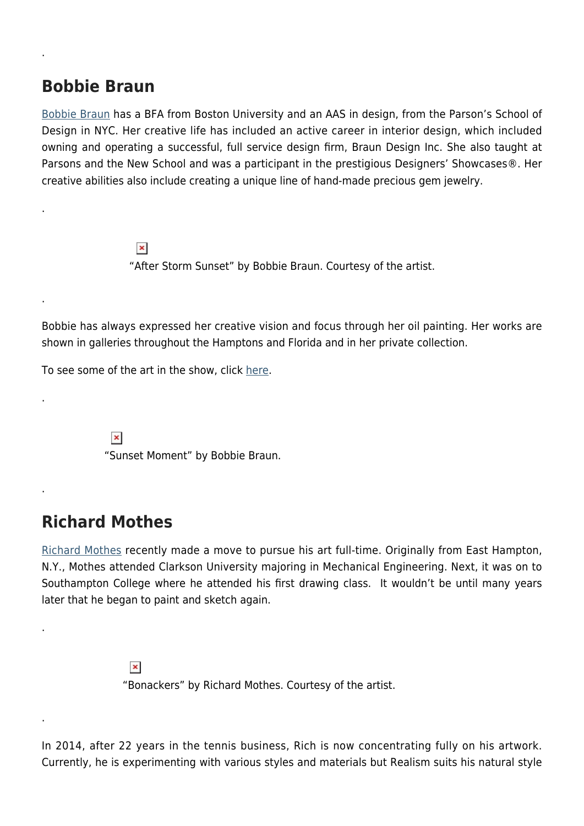## **Bobbie Braun**

.

.

.

.

.

.

.

[Bobbie Braun](http://www.bobbiebraun.com/) has a BFA from Boston University and an AAS in design, from the Parson's School of Design in NYC. Her creative life has included an active career in interior design, which included owning and operating a successful, full service design firm, Braun Design Inc. She also taught at Parsons and the New School and was a participant in the prestigious Designers' Showcases®. Her creative abilities also include creating a unique line of hand-made precious gem jewelry.

> $\pmb{\times}$ "After Storm Sunset" by Bobbie Braun. Courtesy of the artist.

Bobbie has always expressed her creative vision and focus through her oil painting. Her works are shown in galleries throughout the Hamptons and Florida and in her private collection.

To see some of the art in the show, click [here.](http://www.thewhiteroom.gallery/?project=bobbie-braun)

 $\pmb{\times}$ "Sunset Moment" by Bobbie Braun.

## **Richard Mothes**

[Richard Mothes](http://www.richardmothes.com/) recently made a move to pursue his art full-time. Originally from East Hampton, N.Y., Mothes attended Clarkson University majoring in Mechanical Engineering. Next, it was on to Southampton College where he attended his first drawing class. It wouldn't be until many years later that he began to paint and sketch again.

> $\pmb{\times}$ "Bonackers" by Richard Mothes. Courtesy of the artist.

In 2014, after 22 years in the tennis business, Rich is now concentrating fully on his artwork. Currently, he is experimenting with various styles and materials but Realism suits his natural style